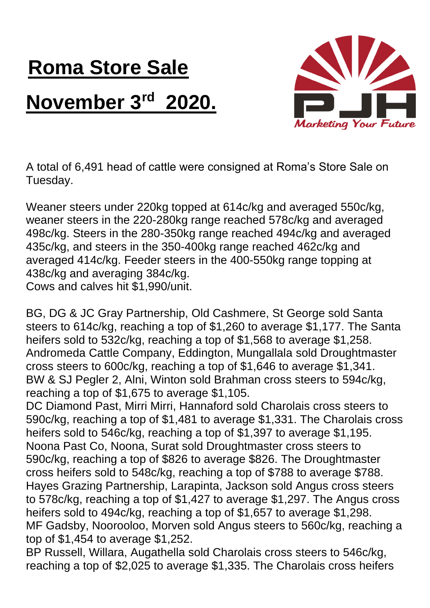## **Roma Store Sale November 3rd 2020.**



A total of 6,491 head of cattle were consigned at Roma's Store Sale on Tuesday.

Weaner steers under 220kg topped at 614c/kg and averaged 550c/kg, weaner steers in the 220-280kg range reached 578c/kg and averaged 498c/kg. Steers in the 280-350kg range reached 494c/kg and averaged 435c/kg, and steers in the 350-400kg range reached 462c/kg and averaged 414c/kg. Feeder steers in the 400-550kg range topping at 438c/kg and averaging 384c/kg. Cows and calves hit \$1,990/unit.

BG, DG & JC Gray Partnership, Old Cashmere, St George sold Santa steers to 614c/kg, reaching a top of \$1,260 to average \$1,177. The Santa heifers sold to 532c/kg, reaching a top of \$1,568 to average \$1,258. Andromeda Cattle Company, Eddington, Mungallala sold Droughtmaster cross steers to 600c/kg, reaching a top of \$1,646 to average \$1,341. BW & SJ Pegler 2, Alni, Winton sold Brahman cross steers to 594c/kg, reaching a top of \$1,675 to average \$1,105.

DC Diamond Past, Mirri Mirri, Hannaford sold Charolais cross steers to 590c/kg, reaching a top of \$1,481 to average \$1,331. The Charolais cross heifers sold to 546c/kg, reaching a top of \$1,397 to average \$1,195. Noona Past Co, Noona, Surat sold Droughtmaster cross steers to 590c/kg, reaching a top of \$826 to average \$826. The Droughtmaster cross heifers sold to 548c/kg, reaching a top of \$788 to average \$788. Hayes Grazing Partnership, Larapinta, Jackson sold Angus cross steers to 578c/kg, reaching a top of \$1,427 to average \$1,297. The Angus cross heifers sold to 494c/kg, reaching a top of \$1,657 to average \$1,298. MF Gadsby, Noorooloo, Morven sold Angus steers to 560c/kg, reaching a top of \$1,454 to average \$1,252.

BP Russell, Willara, Augathella sold Charolais cross steers to 546c/kg, reaching a top of \$2,025 to average \$1,335. The Charolais cross heifers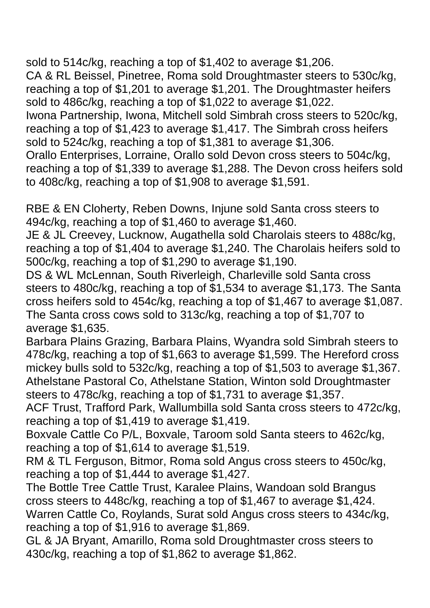sold to 514c/kg, reaching a top of \$1,402 to average \$1,206. CA & RL Beissel, Pinetree, Roma sold Droughtmaster steers to 530c/kg, reaching a top of \$1,201 to average \$1,201. The Droughtmaster heifers sold to 486c/kg, reaching a top of \$1,022 to average \$1,022.

Iwona Partnership, Iwona, Mitchell sold Simbrah cross steers to 520c/kg, reaching a top of \$1,423 to average \$1,417. The Simbrah cross heifers sold to 524c/kg, reaching a top of \$1,381 to average \$1,306.

Orallo Enterprises, Lorraine, Orallo sold Devon cross steers to 504c/kg, reaching a top of \$1,339 to average \$1,288. The Devon cross heifers sold to 408c/kg, reaching a top of \$1,908 to average \$1,591.

RBE & EN Cloherty, Reben Downs, Injune sold Santa cross steers to 494c/kg, reaching a top of \$1,460 to average \$1,460.

JE & JL Creevey, Lucknow, Augathella sold Charolais steers to 488c/kg, reaching a top of \$1,404 to average \$1,240. The Charolais heifers sold to 500c/kg, reaching a top of \$1,290 to average \$1,190.

DS & WL McLennan, South Riverleigh, Charleville sold Santa cross steers to 480c/kg, reaching a top of \$1,534 to average \$1,173. The Santa cross heifers sold to 454c/kg, reaching a top of \$1,467 to average \$1,087. The Santa cross cows sold to 313c/kg, reaching a top of \$1,707 to average \$1,635.

Barbara Plains Grazing, Barbara Plains, Wyandra sold Simbrah steers to 478c/kg, reaching a top of \$1,663 to average \$1,599. The Hereford cross mickey bulls sold to 532c/kg, reaching a top of \$1,503 to average \$1,367. Athelstane Pastoral Co, Athelstane Station, Winton sold Droughtmaster steers to 478c/kg, reaching a top of \$1,731 to average \$1,357.

ACF Trust, Trafford Park, Wallumbilla sold Santa cross steers to 472c/kg, reaching a top of \$1,419 to average \$1,419.

Boxvale Cattle Co P/L, Boxvale, Taroom sold Santa steers to 462c/kg, reaching a top of \$1,614 to average \$1,519.

RM & TL Ferguson, Bitmor, Roma sold Angus cross steers to 450c/kg, reaching a top of \$1,444 to average \$1,427.

The Bottle Tree Cattle Trust, Karalee Plains, Wandoan sold Brangus cross steers to 448c/kg, reaching a top of \$1,467 to average \$1,424. Warren Cattle Co, Roylands, Surat sold Angus cross steers to 434c/kg, reaching a top of \$1,916 to average \$1,869.

GL & JA Bryant, Amarillo, Roma sold Droughtmaster cross steers to 430c/kg, reaching a top of \$1,862 to average \$1,862.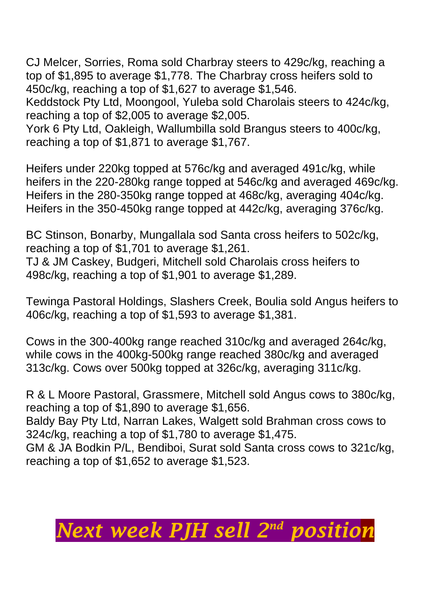CJ Melcer, Sorries, Roma sold Charbray steers to 429c/kg, reaching a top of \$1,895 to average \$1,778. The Charbray cross heifers sold to 450c/kg, reaching a top of \$1,627 to average \$1,546.

Keddstock Pty Ltd, Moongool, Yuleba sold Charolais steers to 424c/kg, reaching a top of \$2,005 to average \$2,005.

York 6 Pty Ltd, Oakleigh, Wallumbilla sold Brangus steers to 400c/kg, reaching a top of \$1,871 to average \$1,767.

Heifers under 220kg topped at 576c/kg and averaged 491c/kg, while heifers in the 220-280kg range topped at 546c/kg and averaged 469c/kg. Heifers in the 280-350kg range topped at 468c/kg, averaging 404c/kg. Heifers in the 350-450kg range topped at 442c/kg, averaging 376c/kg.

BC Stinson, Bonarby, Mungallala sod Santa cross heifers to 502c/kg, reaching a top of \$1,701 to average \$1,261. TJ & JM Caskey, Budgeri, Mitchell sold Charolais cross heifers to 498c/kg, reaching a top of \$1,901 to average \$1,289.

Tewinga Pastoral Holdings, Slashers Creek, Boulia sold Angus heifers to 406c/kg, reaching a top of \$1,593 to average \$1,381.

Cows in the 300-400kg range reached 310c/kg and averaged 264c/kg, while cows in the 400kg-500kg range reached 380c/kg and averaged 313c/kg. Cows over 500kg topped at 326c/kg, averaging 311c/kg.

R & L Moore Pastoral, Grassmere, Mitchell sold Angus cows to 380c/kg, reaching a top of \$1,890 to average \$1,656.

Baldy Bay Pty Ltd, Narran Lakes, Walgett sold Brahman cross cows to 324c/kg, reaching a top of \$1,780 to average \$1,475.

GM & JA Bodkin P/L, Bendiboi, Surat sold Santa cross cows to 321c/kg, reaching a top of \$1,652 to average \$1,523.